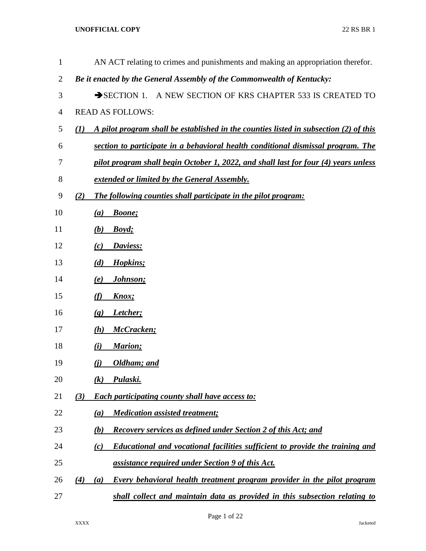| 1              |                            | AN ACT relating to crimes and punishments and making an appropriation therefor.       |
|----------------|----------------------------|---------------------------------------------------------------------------------------|
| $\overline{2}$ |                            | Be it enacted by the General Assembly of the Commonwealth of Kentucky:                |
| 3              |                            | A NEW SECTION OF KRS CHAPTER 533 IS CREATED TO<br>$\rightarrow$ SECTION 1.            |
| 4              |                            | <b>READ AS FOLLOWS:</b>                                                               |
| 5              | (I)                        | A pilot program shall be established in the counties listed in subsection (2) of this |
| 6              |                            | section to participate in a behavioral health conditional dismissal program. The      |
| 7              |                            | pilot program shall begin October 1, 2022, and shall last for four (4) years unless   |
| $8\,$          |                            | <b><u>extended or limited by the General Assembly.</u></b>                            |
| 9              | (2)                        | The following counties shall participate in the pilot program:                        |
| 10             | $\left( a\right)$          | <b>Boone</b> ;                                                                        |
| 11             | (b)                        | Boyd;                                                                                 |
| 12             | (c)                        | Daviess:                                                                              |
| 13             | (d)                        | Hopkins;                                                                              |
| 14             | <u>(e)</u>                 | Johnson;                                                                              |
| 15             | (f)                        | Knox;                                                                                 |
| 16             | $\left( \mathbf{g}\right)$ | Letcher;                                                                              |
| 17             | (h)                        | McCracken;                                                                            |
| 18             | (i)                        | Marion;                                                                               |
| 19             | <u>(i)</u>                 | Oldham; and                                                                           |
| 20             | $\left( k\right)$          | Pulaski.                                                                              |
| 21             | (3)                        | <b>Each participating county shall have access to:</b>                                |
| 22             | (a)                        | <b>Medication assisted treatment;</b>                                                 |
| 23             | (b)                        | <b>Recovery services as defined under Section 2 of this Act; and</b>                  |
| 24             | (c)                        | Educational and vocational facilities sufficient to provide the training and          |
| 25             |                            | assistance required under Section 9 of this Act.                                      |
| 26             | $\left( 4\right)$<br>(a)   | Every behavioral health treatment program provider in the pilot program               |
| 27             |                            | shall collect and maintain data as provided in this subsection relating to            |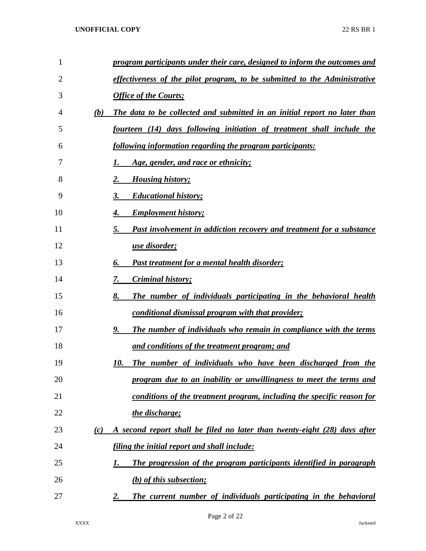| 1  |     | program participants under their care, designed to inform the outcomes and     |
|----|-----|--------------------------------------------------------------------------------|
| 2  |     | effectiveness of the pilot program, to be submitted to the Administrative      |
| 3  |     | <b>Office of the Courts;</b>                                                   |
| 4  | (b) | The data to be collected and submitted in an initial report no later than      |
| 5  |     | fourteen (14) days following initiation of treatment shall include the         |
| 6  |     | following information regarding the program participants:                      |
| 7  |     | Age, gender, and race or ethnicity;                                            |
| 8  |     | <b>Housing history;</b><br>2.                                                  |
| 9  |     | <b>Educational history;</b><br>3.                                              |
| 10 |     | <b>Employment history;</b><br>4.                                               |
| 11 |     | Past involvement in addiction recovery and treatment for a substance<br>5.     |
| 12 |     | use disorder;                                                                  |
| 13 |     | <b>Past treatment for a mental health disorder;</b><br>6.                      |
| 14 |     | <i>Criminal history;</i><br>7.                                                 |
| 15 |     | The number of individuals participating in the behavioral health<br>8.         |
| 16 |     | conditional dismissal program with that provider;                              |
| 17 |     | The number of individuals who remain in compliance with the terms<br>9.        |
| 18 |     | and conditions of the treatment program; and                                   |
| 19 |     | The number of individuals who have been discharged from the<br>10.             |
| 20 |     | program due to an inability or unwillingness to meet the terms and             |
| 21 |     | conditions of the treatment program, including the specific reason for         |
| 22 |     | the discharge;                                                                 |
| 23 | (c) | A second report shall be filed no later than twenty-eight (28) days after      |
| 24 |     | filing the initial report and shall include:                                   |
| 25 |     | The progression of the program participants identified in paragraph<br>1.      |
| 26 |     | (b) of this subsection;                                                        |
| 27 |     | The current number of individuals participating in the behavioral<br><u>2.</u> |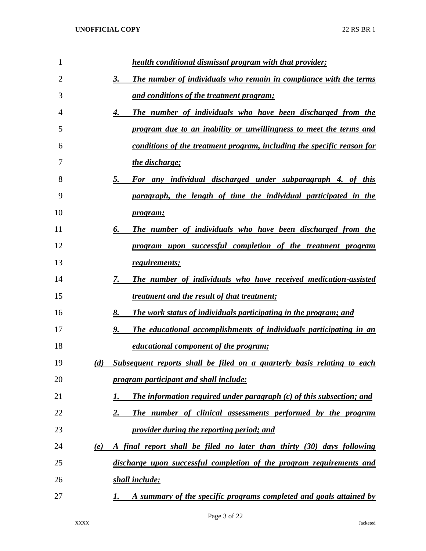| $\mathbf{1}$   |     | <b>health conditional dismissal program with that provider;</b>          |
|----------------|-----|--------------------------------------------------------------------------|
| $\overline{2}$ |     | The number of individuals who remain in compliance with the terms<br>3.  |
| 3              |     | and conditions of the treatment program;                                 |
| 4              |     | The number of individuals who have been discharged from the<br>4.        |
| 5              |     | program due to an inability or unwillingness to meet the terms and       |
| 6              |     | conditions of the treatment program, including the specific reason for   |
| 7              |     | the discharge;                                                           |
| 8              |     | For any individual discharged under subparagraph 4. of this<br>5.        |
| 9              |     | paragraph, the length of time the individual participated in the         |
| 10             |     | <i>program</i> ;                                                         |
| 11             |     | The number of individuals who have been discharged from the<br>6.        |
| 12             |     | program upon successful completion of the treatment program              |
| 13             |     | requirements;                                                            |
| 14             |     | The number of individuals who have received medication-assisted<br>7.    |
| 15             |     | treatment and the result of that treatment;                              |
| 16             |     | The work status of individuals participating in the program; and<br>8.   |
| 17             |     | The educational accomplishments of individuals participating in an<br>9. |
| 18             |     | <i>educational component of the program;</i>                             |
| 19             | (d) | Subsequent reports shall be filed on a quarterly basis relating to each  |
| 20             |     | program participant and shall include:                                   |
| 21             |     | The information required under paragraph (c) of this subsection; and     |
| 22             |     | The number of clinical assessments performed by the program<br>2.        |
| 23             |     | provider during the reporting period; and                                |
| 24             | (e) | A final report shall be filed no later than thirty (30) days following   |
| 25             |     | discharge upon successful completion of the program requirements and     |
| 26             |     | shall include:                                                           |
| 27             |     | A summary of the specific programs completed and goals attained by<br>1. |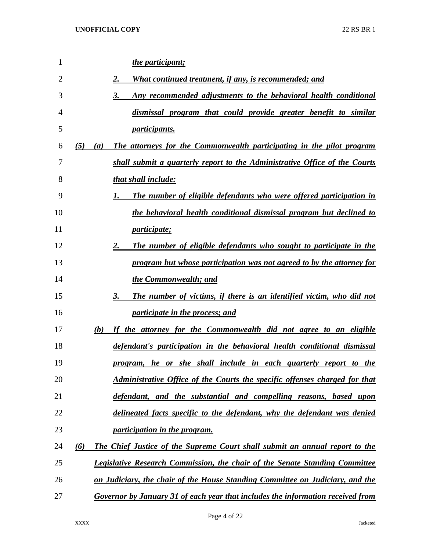| $\mathbf{1}$   |            | the participant;                                                                   |
|----------------|------------|------------------------------------------------------------------------------------|
| $\overline{2}$ |            | 2.<br><u>What continued treatment, if any, is recommended; and</u>                 |
| 3              |            | 3.<br>Any recommended adjustments to the behavioral health conditional             |
| 4              |            | dismissal program that could provide greater benefit to similar                    |
| 5              |            | <i>participants.</i>                                                               |
| 6              | (5)<br>(a) | The attorneys for the Commonwealth participating in the pilot program              |
| 7              |            | shall submit a quarterly report to the Administrative Office of the Courts         |
| 8              |            | that shall include:                                                                |
| 9              |            | The number of eligible defendants who were offered participation in<br>1.          |
| 10             |            | the behavioral health conditional dismissal program but declined to                |
| 11             |            | <i>participate;</i>                                                                |
| 12             |            | The number of eligible defendants who sought to participate in the<br>2.           |
| 13             |            | program but whose participation was not agreed to by the attorney for              |
| 14             |            | the Commonwealth; and                                                              |
| 15             |            | The number of victims, if there is an identified victim, who did not<br>3.         |
| 16             |            | <i>participate in the process; and</i>                                             |
| 17             | (b)        | If the attorney for the Commonwealth did not agree to an eligible                  |
| 18             |            | defendant's participation in the behavioral health conditional dismissal           |
| 19             |            | program, he or she shall include in each quarterly report to the                   |
| 20             |            | Administrative Office of the Courts the specific offenses charged for that         |
| 21             |            | defendant, and the substantial and compelling reasons, based upon                  |
| 22             |            | delineated facts specific to the defendant, why the defendant was denied           |
| 23             |            | participation in the program.                                                      |
| 24             | (6)        | <b>The Chief Justice of the Supreme Court shall submit an annual report to the</b> |
| 25             |            | <b>Legislative Research Commission, the chair of the Senate Standing Committee</b> |
| 26             |            | on Judiciary, the chair of the House Standing Committee on Judiciary, and the      |
| 27             |            | Governor by January 31 of each year that includes the information received from    |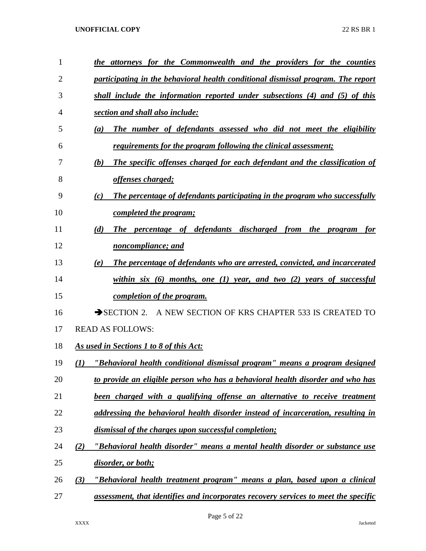| 1  | the attorneys for the Commonwealth and the providers for the counties                  |
|----|----------------------------------------------------------------------------------------|
| 2  | participating in the behavioral health conditional dismissal program. The report       |
| 3  | shall include the information reported under subsections (4) and (5) of this           |
| 4  | section and shall also include:                                                        |
| 5  | The number of defendants assessed who did not meet the eligibility<br>$\left(a\right)$ |
| 6  | <u>requirements for the program following the clinical assessment;</u>                 |
| 7  | The specific offenses charged for each defendant and the classification of<br>(b)      |
| 8  | offenses charged;                                                                      |
| 9  | The percentage of defendants participating in the program who successfully<br>(c)      |
| 10 | completed the program;                                                                 |
| 11 | The percentage of defendants discharged from the program<br>(d)<br>for                 |
| 12 | noncompliance; and                                                                     |
| 13 | The percentage of defendants who are arrested, convicted, and incarcerated<br>(e)      |
| 14 | within six $(6)$ months, one $(1)$ year, and two $(2)$ years of successful             |
| 15 | completion of the program.                                                             |
| 16 | SECTION 2. A NEW SECTION OF KRS CHAPTER 533 IS CREATED TO                              |
| 17 | <b>READ AS FOLLOWS:</b>                                                                |
| 18 | <u>As used in Sections 1 to 8 of this Act:</u>                                         |
| 19 | "Behavioral health conditional dismissal program" means a program designed<br>(I)      |
| 20 | to provide an eligible person who has a behavioral health disorder and who has         |
| 21 | been charged with a qualifying offense an alternative to receive treatment             |
| 22 | addressing the behavioral health disorder instead of incarceration, resulting in       |
| 23 | dismissal of the charges upon successful completion;                                   |
| 24 | "Behavioral health disorder" means a mental health disorder or substance use<br>(2)    |
| 25 | disorder, or both;                                                                     |
| 26 | "Behavioral health treatment program" means a plan, based upon a clinical<br>(3)       |
| 27 | assessment, that identifies and incorporates recovery services to meet the specific    |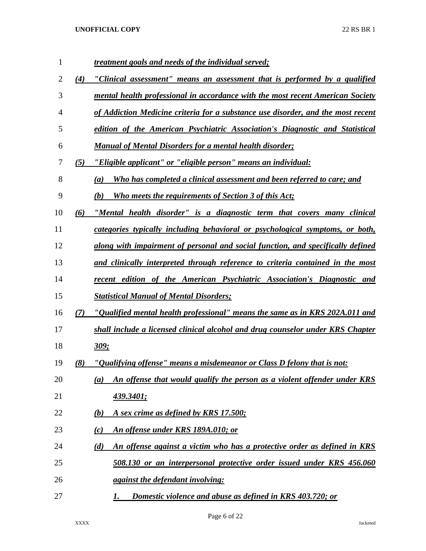| $\mathbf{1}$ |     | <i>treatment goals and needs of the individual served;</i>                          |
|--------------|-----|-------------------------------------------------------------------------------------|
| 2            | (4) | "Clinical assessment" means an assessment that is performed by a qualified          |
| 3            |     | mental health professional in accordance with the most recent American Society      |
| 4            |     | of Addiction Medicine criteria for a substance use disorder, and the most recent    |
| 5            |     | edition of the American Psychiatric Association's Diagnostic and Statistical        |
| 6            |     | Manual of Mental Disorders for a mental health disorder;                            |
| 7            | (5) | "Eligible applicant" or "eligible person" means an individual:                      |
| 8            |     | Who has completed a clinical assessment and been referred to care; and<br>(a)       |
| 9            |     | Who meets the requirements of Section 3 of this Act;<br>(b)                         |
| 10           | (6) | "Mental health disorder" is a diagnostic term that covers many clinical             |
| 11           |     | categories typically including behavioral or psychological symptoms, or both,       |
| 12           |     | along with impairment of personal and social function, and specifically defined     |
| 13           |     | and clinically interpreted through reference to criteria contained in the most      |
| 14           |     | recent edition of the American Psychiatric Association's Diagnostic and             |
| 15           |     | <b>Statistical Manual of Mental Disorders;</b>                                      |
| 16           | (7) | <u>"Qualified mental health professional" means the same as in KRS 202A.011 and</u> |
| 17           |     | shall include a licensed clinical alcohol and drug counselor under KRS Chapter      |
| 18           |     | <u>309;</u>                                                                         |
| 19           | (8) | "Qualifying offense" means a misdemeanor or Class D felony that is not:             |
| 20           |     | An offense that would qualify the person as a violent offender under KRS<br>(a)     |
| 21           |     | <u>439.3401;</u>                                                                    |
| 22           |     | A sex crime as defined by KRS 17.500;<br>(b)                                        |
| 23           |     | <u>An offense under KRS 189A.010; or</u><br>(c)                                     |
| 24           |     | An offense against a victim who has a protective order as defined in KRS<br>(d)     |
| 25           |     | 508.130 or an interpersonal protective order issued under KRS 456.060               |
| 26           |     | <i>against the defendant involving:</i>                                             |
| 27           |     | Domestic violence and abuse as defined in KRS 403.720; or<br>1.                     |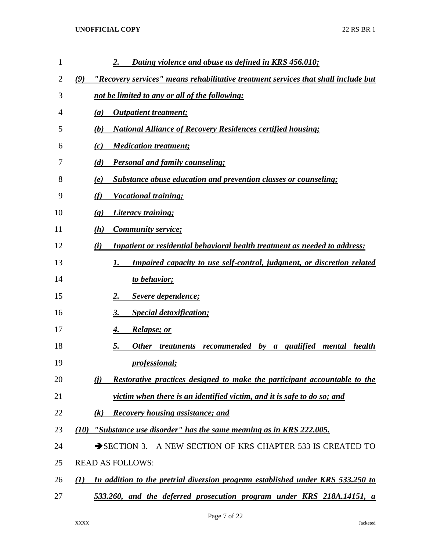| $\mathbf{1}$ | Dating violence and abuse as defined in KRS 456.010;<br>2.                                |
|--------------|-------------------------------------------------------------------------------------------|
| 2            | (9)<br>"Recovery services" means rehabilitative treatment services that shall include but |
| 3            | not be limited to any or all of the following:                                            |
| 4            | <b>Outpatient treatment;</b><br>(a)                                                       |
| 5            | <b>National Alliance of Recovery Residences certified housing;</b><br>(b)                 |
| 6            | <b>Medication treatment;</b><br>(c)                                                       |
| 7            | <b>Personal and family counseling;</b><br>(d)                                             |
| 8            | <b>Substance abuse education and prevention classes or counseling;</b><br>(e)             |
| 9            | (f)<br>Vocational training;                                                               |
| 10           | Literacy training;<br>$\left( \mathbf{g} \right)$                                         |
| 11           | <b>Community service;</b><br>(h)                                                          |
| 12           | <b>Inpatient or residential behavioral health treatment as needed to address:</b><br>(i)  |
| 13           | <b>Impaired capacity to use self-control, judgment, or discretion related</b><br>1.       |
| 14           | to behavior;                                                                              |
| 15           | Severe dependence;<br>2.                                                                  |
| 16           | <b>Special detoxification;</b><br>3.                                                      |
| 17           | <i>Relapse; or</i><br>4.                                                                  |
| 18           | recommended by a qualified<br>5.<br>Other treatments<br>mental health                     |
| 19           | <i>professional</i> ;                                                                     |
| 20           | Restorative practices designed to make the participant accountable to the<br>(i)          |
| 21           | victim when there is an identified victim, and it is safe to do so; and                   |
| 22           | <b>Recovery housing assistance; and</b><br>$\left( k\right)$                              |
| 23           | "Substance use disorder" has the same meaning as in KRS 222.005.<br>(10)                  |
| 24           | SECTION 3. A NEW SECTION OF KRS CHAPTER 533 IS CREATED TO                                 |
| 25           | <b>READ AS FOLLOWS:</b>                                                                   |
| 26           | In addition to the pretrial diversion program established under KRS 533.250 to<br>(I)     |
| 27           | 533.260, and the deferred prosecution program under KRS 218A.14151, a                     |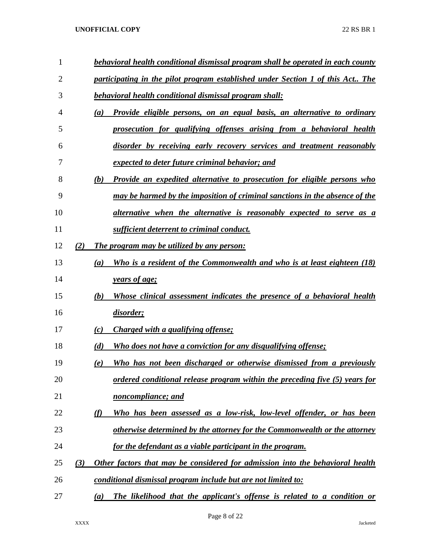| 1  |     | behavioral health conditional dismissal program shall be operated in each county            |  |
|----|-----|---------------------------------------------------------------------------------------------|--|
| 2  |     | participating in the pilot program established under Section 1 of this Act The              |  |
| 3  |     | behavioral health conditional dismissal program shall:                                      |  |
| 4  |     | Provide eligible persons, on an equal basis, an alternative to ordinary<br>(a)              |  |
| 5  |     | prosecution for qualifying offenses arising from a behavioral health                        |  |
| 6  |     | disorder by receiving early recovery services and treatment reasonably                      |  |
| 7  |     | expected to deter future criminal behavior; and                                             |  |
| 8  |     | Provide an expedited alternative to prosecution for eligible persons who<br>(b)             |  |
| 9  |     | may be harmed by the imposition of criminal sanctions in the absence of the                 |  |
| 10 |     | <u>alternative when the alternative is reasonably expected to serve as a</u>                |  |
| 11 |     | sufficient deterrent to criminal conduct.                                                   |  |
| 12 | (2) | The program may be utilized by any person:                                                  |  |
| 13 |     | Who is a resident of the Commonwealth and who is at least eighteen (18)<br>$\left(a\right)$ |  |
| 14 |     | years of age;                                                                               |  |
| 15 |     | Whose clinical assessment indicates the presence of a behavioral health<br>(b)              |  |
| 16 |     | <u>disorder;</u>                                                                            |  |
| 17 |     | Charged with a qualifying offense;<br>(c)                                                   |  |
| 18 |     | <b>Who does not have a conviction for any disqualifying offense;</b><br>(d)                 |  |
| 19 |     | Who has not been discharged or otherwise dismissed from a previously<br>(e)                 |  |
| 20 |     | ordered conditional release program within the preceding five (5) years for                 |  |
| 21 |     | noncompliance; and                                                                          |  |
| 22 |     | (f)<br>Who has been assessed as a low-risk, low-level offender, or has been                 |  |
| 23 |     | otherwise determined by the attorney for the Commonwealth or the attorney                   |  |
| 24 |     | for the defendant as a viable participant in the program.                                   |  |
| 25 | (3) | Other factors that may be considered for admission into the behavioral health               |  |
| 26 |     | conditional dismissal program include but are not limited to:                               |  |
| 27 |     | The likelihood that the applicant's offense is related to a condition or<br>(a)             |  |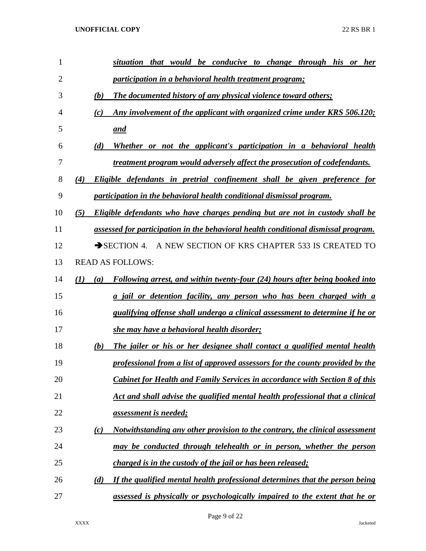| $\mathbf{1}$   | situation that would be conducive to change through his or<br><b>her</b>                  |
|----------------|-------------------------------------------------------------------------------------------|
| $\overline{2}$ | participation in a behavioral health treatment program;                                   |
| 3              | (b)<br>The documented history of any physical violence toward others;                     |
| 4              | Any involvement of the applicant with organized crime under KRS 506.120;<br>(c)           |
| 5              | and                                                                                       |
| 6              | Whether or not the applicant's participation in a behavioral health<br>(d)                |
| 7              | treatment program would adversely affect the prosecution of codefendants.                 |
| 8              | Eligible defendants in pretrial confinement shall be given preference for<br>(4)          |
| 9              | participation in the behavioral health conditional dismissal program.                     |
| 10             | Eligible defendants who have charges pending but are not in custody shall be<br>(5)       |
| 11             | assessed for participation in the behavioral health conditional dismissal program.        |
| 12             | SECTION 4. A NEW SECTION OF KRS CHAPTER 533 IS CREATED TO                                 |
| 13             | <b>READ AS FOLLOWS:</b>                                                                   |
| 14             | Following arrest, and within twenty-four (24) hours after being booked into<br>(I)<br>(a) |
| 15             | a jail or detention facility, any person who has been charged with a                      |
| 16             | <i>qualifying offense shall undergo a clinical assessment to determine if he or</i>       |
| 17             | she may have a behavioral health disorder;                                                |
| 18             | (b)<br>The jailer or his or her designee shall contact a qualified mental health          |
| 19             | professional from a list of approved assessors for the county provided by the             |
| 20             | <b>Cabinet for Health and Family Services in accordance with Section 8 of this</b>        |
| 21             | Act and shall advise the qualified mental health professional that a clinical             |
| 22             | <i><u>assessment is needed;</u></i>                                                       |
| 23             | Notwithstanding any other provision to the contrary, the clinical assessment<br>(c)       |
| 24             | may be conducted through telehealth or in person, whether the person                      |
| 25             | <i>charged is in the custody of the jail or has been released;</i>                        |
| 26             | If the qualified mental health professional determines that the person being<br>(d)       |
| 27             | assessed is physically or psychologically impaired to the extent that he or               |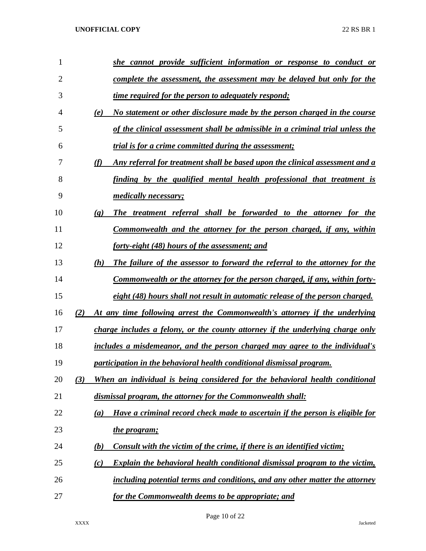| 1              | she cannot provide sufficient information or response to conduct or                                    |
|----------------|--------------------------------------------------------------------------------------------------------|
| $\overline{2}$ | complete the assessment, the assessment may be delayed but only for the                                |
| 3              | time required for the person to adequately respond;                                                    |
| 4              | No statement or other disclosure made by the person charged in the course<br>(e)                       |
| 5              | of the clinical assessment shall be admissible in a criminal trial unless the                          |
| 6              | <i>trial is for a crime committed during the assessment;</i>                                           |
| 7              | (f)<br>Any referral for treatment shall be based upon the clinical assessment and a                    |
| 8              | finding by the qualified mental health professional that treatment is                                  |
| 9              | <i>medically necessary;</i>                                                                            |
| 10             | The treatment referral shall be forwarded to the attorney for the<br>$\left( \mathbf{g} \right)$       |
| 11             | Commonwealth and the attorney for the person charged, if any, within                                   |
| 12             | <u>forty-eight (48) hours of the assessment; and</u>                                                   |
| 13             | The failure of the assessor to forward the referral to the attorney for the<br>(h)                     |
| 14             | Commonwealth or the attorney for the person charged, if any, within forty-                             |
| 15             | eight (48) hours shall not result in automatic release of the person charged.                          |
| 16             | At any time following arrest the Commonwealth's attorney if the underlying<br>(2)                      |
| 17             | charge includes a felony, or the county attorney if the underlying charge only                         |
| 18             | includes a misdemeanor, and the person charged may agree to the individual's                           |
| 19             | participation in the behavioral health conditional dismissal program.                                  |
| 20             | When an individual is being considered for the behavioral health conditional<br>(3)                    |
| 21             | dismissal program, the attorney for the Commonwealth shall:                                            |
| 22             | Have a criminal record check made to ascertain if the person is eligible for<br>(a)                    |
| 23             | the program;                                                                                           |
| 24             | Consult with the victim of the crime, if there is an identified victim;<br><u>(b)</u>                  |
| 25             | <b>Explain the behavioral health conditional dismissal program to the victim,</b><br>$\left( c\right)$ |
| 26             | including potential terms and conditions, and any other matter the attorney                            |
| 27             | for the Commonwealth deems to be appropriate; and                                                      |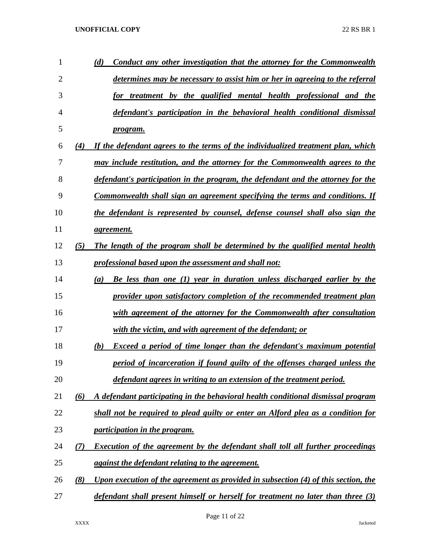| 1  |     | Conduct any other investigation that the attorney for the Commonwealth<br>(d)         |
|----|-----|---------------------------------------------------------------------------------------|
| 2  |     | determines may be necessary to assist him or her in agreeing to the referral          |
| 3  |     | for treatment by the qualified mental health professional and the                     |
| 4  |     | defendant's participation in the behavioral health conditional dismissal              |
| 5  |     | <i>program.</i>                                                                       |
| 6  | (4) | If the defendant agrees to the terms of the individualized treatment plan, which      |
| 7  |     | may include restitution, and the attorney for the Commonwealth agrees to the          |
| 8  |     | defendant's participation in the program, the defendant and the attorney for the      |
| 9  |     | <u>Commonwealth shall sign an agreement specifying the terms and conditions. If</u>   |
| 10 |     | the defendant is represented by counsel, defense counsel shall also sign the          |
| 11 |     | agreement.                                                                            |
| 12 | (5) | The length of the program shall be determined by the qualified mental health          |
| 13 |     | <i>professional based upon the assessment and shall not:</i>                          |
| 14 |     | Be less than one (1) year in duration unless discharged earlier by the<br>(a)         |
| 15 |     | provider upon satisfactory completion of the recommended treatment plan               |
| 16 |     | with agreement of the attorney for the Commonwealth after consultation                |
| 17 |     | with the victim, and with agreement of the defendant; or                              |
| 18 |     | <b>Exceed a period of time longer than the defendant's maximum potential</b><br>(b)   |
| 19 |     | period of incarceration if found guilty of the offenses charged unless the            |
| 20 |     | defendant agrees in writing to an extension of the treatment period.                  |
| 21 | (6) | A defendant participating in the behavioral health conditional dismissal program      |
| 22 |     | shall not be required to plead guilty or enter an Alford plea as a condition for      |
| 23 |     | <i>participation in the program.</i>                                                  |
| 24 | (7) | <b>Execution of the agreement by the defendant shall toll all further proceedings</b> |
| 25 |     | against the defendant relating to the agreement.                                      |
| 26 | (8) | Upon execution of the agreement as provided in subsection (4) of this section, the    |
| 27 |     | defendant shall present himself or herself for treatment no later than three (3)      |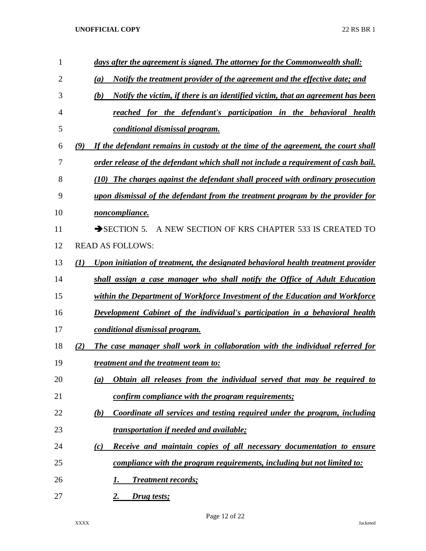| 1              | days after the agreement is signed. The attorney for the Commonwealth shall:             |  |
|----------------|------------------------------------------------------------------------------------------|--|
| $\overline{2}$ | <u>Notify the treatment provider of the agreement and the effective date; and</u><br>(a) |  |
| 3              | Notify the victim, if there is an identified victim, that an agreement has been<br>(b)   |  |
| 4              | reached for the defendant's participation in the behavioral health                       |  |
| 5              | conditional dismissal program.                                                           |  |
| 6              | If the defendant remains in custody at the time of the agreement, the court shall<br>(9) |  |
| 7              | order release of the defendant which shall not include a requirement of cash bail.       |  |
| 8              | (10) The charges against the defendant shall proceed with ordinary prosecution           |  |
| 9              | upon dismissal of the defendant from the treatment program by the provider for           |  |
| 10             | noncompliance.                                                                           |  |
| 11             | $\rightarrow$ SECTION 5.<br>A NEW SECTION OF KRS CHAPTER 533 IS CREATED TO               |  |
| 12             | <b>READ AS FOLLOWS:</b>                                                                  |  |
| 13             | Upon initiation of treatment, the designated behavioral health treatment provider<br>(1) |  |
| 14             | shall assign a case manager who shall notify the Office of Adult Education               |  |
| 15             | within the Department of Workforce Investment of the Education and Workforce             |  |
| 16             | Development Cabinet of the individual's participation in a behavioral health             |  |
| 17             | conditional dismissal program.                                                           |  |
| 18             | The case manager shall work in collaboration with the individual referred for<br>(2)     |  |
| 19             | <i>treatment and the treatment team to:</i>                                              |  |
| 20             | Obtain all releases from the individual served that may be required to<br>(a)            |  |
| 21             | confirm compliance with the program requirements;                                        |  |
| 22             | Coordinate all services and testing required under the program, including<br>(b)         |  |
| 23             | <b>transportation if needed and available;</b>                                           |  |
| 24             | Receive and maintain copies of all necessary documentation to ensure<br>(c)              |  |
| 25             | compliance with the program requirements, including but not limited to:                  |  |
| 26             | <b>Treatment records;</b><br>1.                                                          |  |
| 27             | Drug tests;<br>2.                                                                        |  |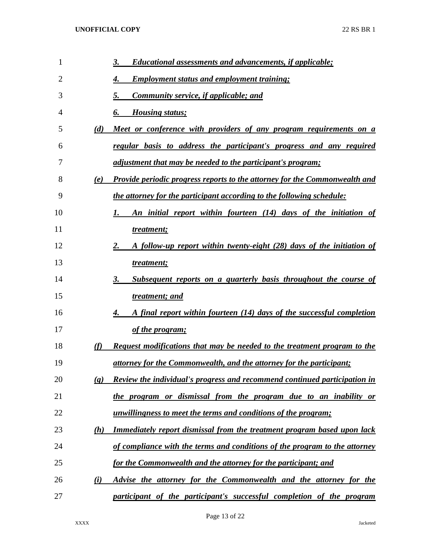| $\mathbf{1}$   |                             | 3.<br><b>Educational assessments and advancements, if applicable;</b>             |
|----------------|-----------------------------|-----------------------------------------------------------------------------------|
| $\overline{2}$ |                             | <b>Employment status and employment training;</b><br>4.                           |
| 3              |                             | Community service, if applicable; and<br>5.                                       |
| 4              |                             | <b>Housing status;</b><br>6.                                                      |
| 5              | (d)                         | Meet or conference with providers of any program requirements on a                |
| 6              |                             | regular basis to address the participant's progress and any required              |
| 7              |                             | adjustment that may be needed to the participant's program;                       |
| 8              | (e)                         | <u>Provide periodic progress reports to the attorney for the Commonwealth and</u> |
| 9              |                             | <u>the attorney for the participant according to the following schedule:</u>      |
| 10             |                             | An initial report within fourteen (14) days of the initiation of                  |
| 11             |                             | treatment;                                                                        |
| 12             |                             | 2.<br>A follow-up report within twenty-eight (28) days of the initiation of       |
| 13             |                             | treatment;                                                                        |
| 14             |                             | Subsequent reports on a quarterly basis throughout the course of<br>3.            |
| 15             |                             | treatment; and                                                                    |
| 16             |                             | A final report within fourteen (14) days of the successful completion<br>4.       |
| 17             |                             | of the program;                                                                   |
| 18             | (f)                         | Request modifications that may be needed to the treatment program to the          |
| 19             |                             | <u>attorney for the Commonwealth, and the attorney for the participant;</u>       |
| 20             | $\left( \mathbf{g} \right)$ | <b>Review the individual's progress and recommend continued participation in</b>  |
| 21             |                             | the program or dismissal from the program due to an inability or                  |
| 22             |                             | <u>unwillingness to meet the terms and conditions of the program;</u>             |
| 23             | (h)                         | Immediately report dismissal from the treatment program based upon lack           |
| 24             |                             | of compliance with the terms and conditions of the program to the attorney        |
| 25             |                             | for the Commonwealth and the attorney for the participant; and                    |
| 26             | (i)                         | Advise the attorney for the Commonwealth and the attorney for the                 |
| 27             |                             | participant of the participant's successful completion of the program             |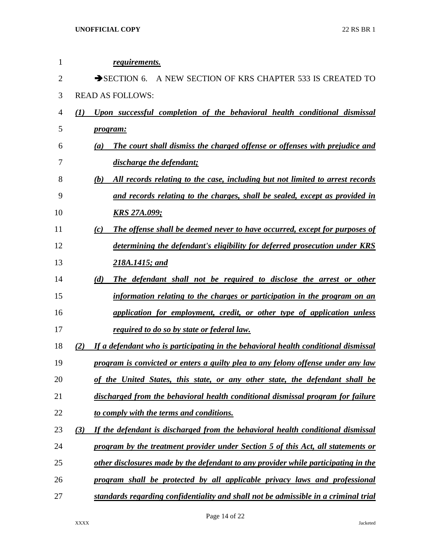| 1              | <i>requirements.</i>                                                                          |
|----------------|-----------------------------------------------------------------------------------------------|
| $\overline{2}$ | $\rightarrow$ SECTION 6.<br>A NEW SECTION OF KRS CHAPTER 533 IS CREATED TO                    |
| 3              | <b>READ AS FOLLOWS:</b>                                                                       |
| 4              | $\mathcal{L}(I)$<br>Upon successful completion of the behavioral health conditional dismissal |
| 5              | <i>program:</i>                                                                               |
| 6              | The court shall dismiss the charged offense or offenses with prejudice and<br>(a)             |
| 7              | discharge the defendant;                                                                      |
| 8              | (b)<br>All records relating to the case, including but not limited to arrest records          |
| 9              | and records relating to the charges, shall be sealed, except as provided in                   |
| 10             | <u>KRS 27A.099;</u>                                                                           |
| 11             | <b>The offense shall be deemed never to have occurred, except for purposes of</b><br>(c)      |
| 12             | determining the defendant's eligibility for deferred prosecution under KRS                    |
| 13             | 218A.1415; and                                                                                |
| 14             | (d)<br>The defendant shall not be required to disclose the arrest or other                    |
| 15             | information relating to the charges or participation in the program on an                     |
| 16             | application for employment, credit, or other type of application unless                       |
| 17             | required to do so by state or federal law.                                                    |
| 18             | If a defendant who is participating in the behavioral health conditional dismissal<br>(2)     |
| 19             | program is convicted or enters a guilty plea to any felony offense under any law              |
| 20             | of the United States, this state, or any other state, the defendant shall be                  |
| 21             | discharged from the behavioral health conditional dismissal program for failure               |
| 22             | to comply with the terms and conditions.                                                      |
| 23             | (3)<br>If the defendant is discharged from the behavioral health conditional dismissal        |
| 24             | program by the treatment provider under Section 5 of this Act, all statements or              |
| 25             | other disclosures made by the defendant to any provider while participating in the            |
| 26             | program shall be protected by all applicable privacy laws and professional                    |
| 27             | standards regarding confidentiality and shall not be admissible in a criminal trial           |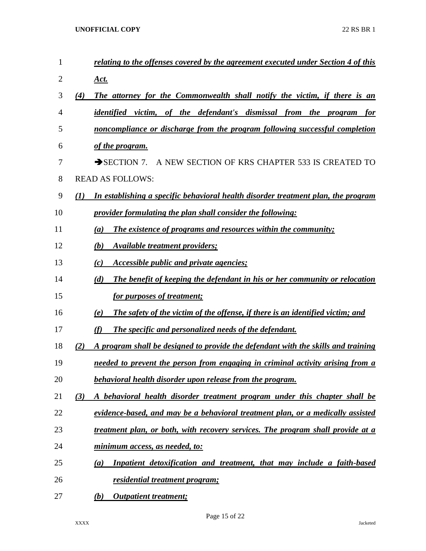| $\mathbf{1}$ | relating to the offenses covered by the agreement executed under Section 4 of this           |
|--------------|----------------------------------------------------------------------------------------------|
| 2            | <u>Act.</u>                                                                                  |
| 3            | (4)<br>The attorney for the Commonwealth shall notify the victim, if there is an             |
| 4            | identified victim, of the defendant's dismissal from the program<br>for                      |
| 5            | noncompliance or discharge from the program following successful completion                  |
| 6            | of the program.                                                                              |
| 7            | $\rightarrow$ SECTION 7.<br>A NEW SECTION OF KRS CHAPTER 533 IS CREATED TO                   |
| 8            | <b>READ AS FOLLOWS:</b>                                                                      |
| 9            | (1)<br>In establishing a specific behavioral health disorder treatment plan, the program     |
| 10           | <i>provider formulating the plan shall consider the following:</i>                           |
| 11           | The existence of programs and resources within the community;<br>(a)                         |
| 12           | (b)<br>Available treatment providers;                                                        |
| 13           | (c)<br><i>Accessible public and private agencies;</i>                                        |
| 14           | (d)<br>The benefit of keeping the defendant in his or her community or relocation            |
| 15           | for purposes of treatment;                                                                   |
| 16           | <b>The safety of the victim of the offense, if there is an identified victim; and</b><br>(e) |
| 17           | The specific and personalized needs of the defendant.<br>(f)                                 |
| 18           | A program shall be designed to provide the defendant with the skills and training<br>(2)     |
| 19           | needed to prevent the person from engaging in criminal activity arising from a               |
| 20           | behavioral health disorder upon release from the program.                                    |
| 21           | (3)<br>A behavioral health disorder treatment program under this chapter shall be            |
| 22           | evidence-based, and may be a behavioral treatment plan, or a medically assisted              |
| 23           | treatment plan, or both, with recovery services. The program shall provide at a              |
| 24           | minimum access, as needed, to:                                                               |
| 25           | Inpatient detoxification and treatment, that may include a faith-based<br>(a)                |
| 26           | <u>residential treatment program;</u>                                                        |
| 27           | (b)<br><b>Outpatient treatment;</b>                                                          |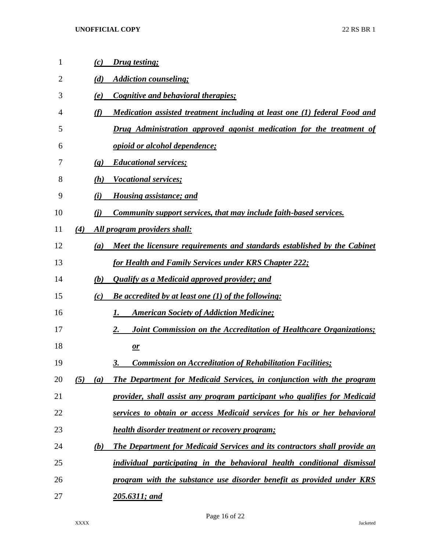| 1  | (c)                         | <b>Drug testing;</b>                                                             |
|----|-----------------------------|----------------------------------------------------------------------------------|
| 2  | (d)                         | <b>Addiction counseling;</b>                                                     |
| 3  | (e)                         | <b>Cognitive and behavioral therapies;</b>                                       |
| 4  | (f)                         | Medication assisted treatment including at least one (1) federal Food and        |
| 5  |                             | Drug Administration approved agonist medication for the treatment of             |
| 6  |                             | <u>opioid or alcohol dependence;</u>                                             |
| 7  | $\left( \mathbf{g} \right)$ | <b>Educational services;</b>                                                     |
| 8  | (h)                         | <b>Vocational services;</b>                                                      |
| 9  | (i)                         | <b>Housing assistance; and</b>                                                   |
| 10 | (i)                         | <b>Community support services, that may include faith-based services.</b>        |
| 11 | (4)                         | All program providers shall:                                                     |
| 12 | (a)                         | Meet the licensure requirements and standards established by the Cabinet         |
| 13 |                             | for Health and Family Services under KRS Chapter 222;                            |
| 14 | (b)                         | <b>Qualify as a Medicaid approved provider; and</b>                              |
| 15 | (c)                         | <b>Be accredited by at least one (1) of the following:</b>                       |
| 16 |                             | <b>American Society of Addiction Medicine;</b><br>Ι.                             |
| 17 |                             | <b>Joint Commission on the Accreditation of Healthcare Organizations;</b><br>2.  |
| 18 |                             | $\mathbf{\underline{or}}$                                                        |
| 19 |                             | <b>Commission on Accreditation of Rehabilitation Facilities;</b><br>3.           |
| 20 | (5)<br>(a)                  | The Department for Medicaid Services, in conjunction with the program            |
| 21 |                             | provider, shall assist any program participant who qualifies for Medicaid        |
| 22 |                             | services to obtain or access Medicaid services for his or her behavioral         |
| 23 |                             | <b>health disorder treatment or recovery program;</b>                            |
| 24 | (b)                         | <b>The Department for Medicaid Services and its contractors shall provide an</b> |
| 25 |                             | individual participating in the behavioral health conditional dismissal          |
| 26 |                             | program with the substance use disorder benefit as provided under KRS            |
| 27 |                             | 205.6311; and                                                                    |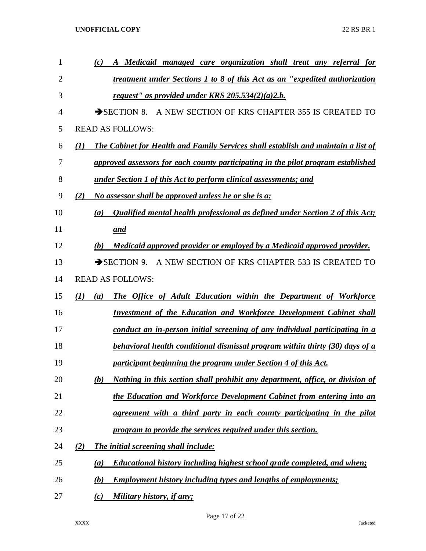| $\mathbf{1}$ | A Medicaid managed care organization shall treat any referral for<br>(c)                        |
|--------------|-------------------------------------------------------------------------------------------------|
| 2            | treatment under Sections 1 to 8 of this Act as an "expedited authorization"                     |
| 3            | request" as provided under KRS $205.534(2)(a)2.b.$                                              |
| 4            | SECTION 8. A NEW SECTION OF KRS CHAPTER 355 IS CREATED TO                                       |
| 5            | <b>READ AS FOLLOWS:</b>                                                                         |
| 6            | <b>The Cabinet for Health and Family Services shall establish and maintain a list of</b><br>(1) |
| 7            | approved assessors for each county participating in the pilot program established               |
| 8            | under Section 1 of this Act to perform clinical assessments; and                                |
| 9            | No assessor shall be approved unless he or she is a:<br>(2)                                     |
| 10           | Qualified mental health professional as defined under Section 2 of this Act;<br>(a)             |
| 11           | <u>and</u>                                                                                      |
| 12           | Medicaid approved provider or employed by a Medicaid approved provider.<br>(b)                  |
| 13           | SECTION 9. A NEW SECTION OF KRS CHAPTER 533 IS CREATED TO                                       |
| 14           | <b>READ AS FOLLOWS:</b>                                                                         |
| 15           | The Office of Adult Education within the Department of Workforce<br>(1)<br>(a)                  |
| 16           | <b>Investment of the Education and Workforce Development Cabinet shall</b>                      |
| 17           | conduct an in-person initial screening of any individual participating in a                     |
| 18           | <b>behavioral health conditional dismissal program within thirty (30) days of a</b>             |
| 19           | participant beginning the program under Section 4 of this Act.                                  |
| 20           | Nothing in this section shall prohibit any department, office, or division of<br>(b)            |
| 21           | the Education and Workforce Development Cabinet from entering into an                           |
| 22           | agreement with a third party in each county participating in the pilot                          |
| 23           | program to provide the services required under this section.                                    |
| 24           | The initial screening shall include:<br>(2)                                                     |
| 25           | Educational history including highest school grade completed, and when;<br>(a)                  |
| 26           | <b>Employment history including types and lengths of employments;</b><br>(b)                    |
| 27           | Military history, if any;<br>(c)                                                                |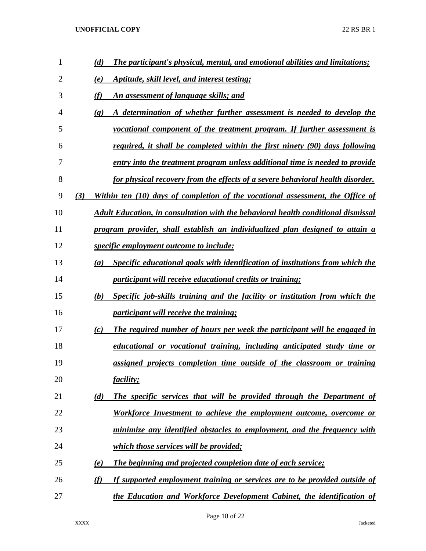| $\mathbf{1}$ | The participant's physical, mental, and emotional abilities and limitations;<br>(d)                   |
|--------------|-------------------------------------------------------------------------------------------------------|
| 2            | <u>Aptitude, skill level, and interest testing;</u><br>(e)                                            |
| 3            | (f)<br>An assessment of language skills; and                                                          |
| 4            | A determination of whether further assessment is needed to develop the<br>$\left( \mathbf{g} \right)$ |
| 5            | vocational component of the treatment program. If further assessment is                               |
| 6            | required, it shall be completed within the first ninety (90) days following                           |
| 7            | entry into the treatment program unless additional time is needed to provide                          |
| 8            | for physical recovery from the effects of a severe behavioral health disorder.                        |
| 9            | Within ten (10) days of completion of the vocational assessment, the Office of<br>(3)                 |
| 10           | Adult Education, in consultation with the behavioral health conditional dismissal                     |
| 11           | program provider, shall establish an individualized plan designed to attain a                         |
| 12           | <i>specific employment outcome to include:</i>                                                        |
| 13           | Specific educational goals with identification of institutions from which the<br>(a)                  |
| 14           | <i>participant will receive educational credits or training;</i>                                      |
| 15           | Specific job-skills training and the facility or institution from which the<br>(b)                    |
| 16           | <i>participant will receive the training;</i>                                                         |
| 17           | The required number of hours per week the participant will be engaged in<br>(c)                       |
| 18           | educational or vocational training, including anticipated study time or                               |
| 19           | <u>assigned projects completion time outside of the classroom or training</u>                         |
| 20           | <i>facility;</i>                                                                                      |
| 21           | The specific services that will be provided through the Department of<br>(d)                          |
| 22           | Workforce Investment to achieve the employment outcome, overcome or                                   |
| 23           | minimize any identified obstacles to employment, and the frequency with                               |
| 24           | which those services will be provided;                                                                |
| 25           | <b>The beginning and projected completion date of each service;</b><br>(e)                            |
| 26           | (f)<br>If supported employment training or services are to be provided outside of                     |
| 27           | the Education and Workforce Development Cabinet, the identification of                                |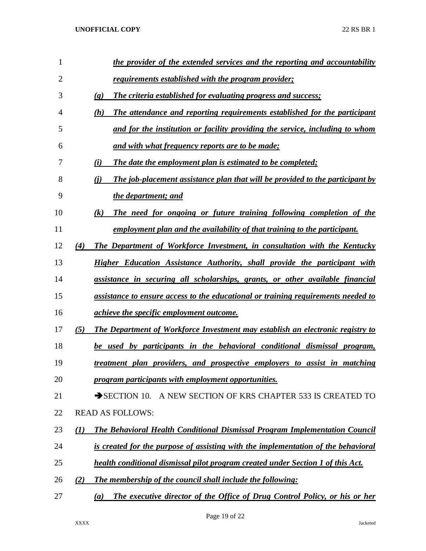| 1              |     | the provider of the extended services and the reporting and accountability                          |
|----------------|-----|-----------------------------------------------------------------------------------------------------|
| $\overline{2}$ |     | <u>requirements established with the program provider;</u>                                          |
| 3              |     | <b>The criteria established for evaluating progress and success;</b><br>$\left( \mathbf{g} \right)$ |
| 4              |     | The attendance and reporting requirements established for the participant<br>(h)                    |
| 5              |     | and for the institution or facility providing the service, including to whom                        |
| 6              |     | and with what frequency reports are to be made;                                                     |
| 7              |     | The date the employment plan is estimated to be completed;<br>(i)                                   |
| 8              |     | The job-placement assistance plan that will be provided to the participant by<br>(i)                |
| 9              |     | the department; and                                                                                 |
| 10             |     | The need for ongoing or future training following completion of the<br>$\left( k\right)$            |
| 11             |     | employment plan and the availability of that training to the participant.                           |
| 12             | (4) | <b>The Department of Workforce Investment, in consultation with the Kentucky</b>                    |
| 13             |     | Higher Education Assistance Authority, shall provide the participant with                           |
| 14             |     | assistance in securing all scholarships, grants, or other available financial                       |
| 15             |     | assistance to ensure access to the educational or training requirements needed to                   |
| 16             |     | <u>achieve the specific employment outcome.</u>                                                     |
| 17             | (5) | The Department of Workforce Investment may establish an electronic registry to                      |
| 18             |     | be used by participants in the behavioral conditional dismissal program,                            |
| 19             |     | <u>treatment plan providers, and prospective employers to assist in matching</u>                    |
| 20             |     | program participants with employment opportunities.                                                 |
| 21             |     | A NEW SECTION OF KRS CHAPTER 533 IS CREATED TO<br>$\rightarrow$ SECTION 10.                         |
| 22             |     | <b>READ AS FOLLOWS:</b>                                                                             |
| 23             | (I) | The Behavioral Health Conditional Dismissal Program Implementation Council                          |
| 24             |     | is created for the purpose of assisting with the implementation of the behavioral                   |
| 25             |     | health conditional dismissal pilot program created under Section 1 of this Act.                     |
| 26             | (2) | The membership of the council shall include the following:                                          |
| 27             |     | The executive director of the Office of Drug Control Policy, or his or her<br>(a)                   |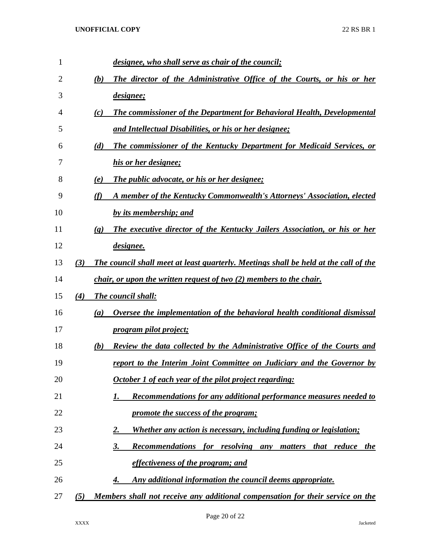| 1  |     | designee, who shall serve as chair of the council;                                                       |
|----|-----|----------------------------------------------------------------------------------------------------------|
| 2  |     | The director of the Administrative Office of the Courts, or his or her<br>(b)                            |
| 3  |     | designee;                                                                                                |
| 4  |     | <b>The commissioner of the Department for Behavioral Health, Developmental</b><br>(c)                    |
| 5  |     | and Intellectual Disabilities, or his or her designee;                                                   |
| 6  |     | The commissioner of the Kentucky Department for Medicaid Services, or<br>(d)                             |
| 7  |     | his or her designee;                                                                                     |
| 8  |     | The public advocate, or his or her designee;<br>(e)                                                      |
| 9  |     | A member of the Kentucky Commonwealth's Attorneys' Association, elected<br>(f)                           |
| 10 |     | by its membership; and                                                                                   |
| 11 |     | The executive director of the Kentucky Jailers Association, or his or her<br>$\left( \mathbf{g} \right)$ |
| 12 |     | <i>designee.</i>                                                                                         |
| 13 | (3) | The council shall meet at least quarterly. Meetings shall be held at the call of the                     |
| 14 |     | <i>chair, or upon the written request of two (2) members to the chair.</i>                               |
| 15 | (4) | <b>The council shall:</b>                                                                                |
| 16 |     | Oversee the implementation of the behavioral health conditional dismissal<br>(a)                         |
| 17 |     | program pilot project;                                                                                   |
| 18 |     | Review the data collected by the Administrative Office of the Courts and<br>(b)                          |
| 19 |     | report to the Interim Joint Committee on Judiciary and the Governor by                                   |
| 20 |     | October 1 of each year of the pilot project regarding:                                                   |
| 21 |     | Recommendations for any additional performance measures needed to<br>I.                                  |
| 22 |     | promote the success of the program;                                                                      |
| 23 |     | <b>Whether any action is necessary, including funding or legislation;</b><br>2.                          |
| 24 |     | Recommendations for resolving any matters that reduce the<br>3.                                          |
| 25 |     | effectiveness of the program; and                                                                        |
| 26 |     | Any additional information the council deems appropriate.<br>4.                                          |
| 27 | (5) | Members shall not receive any additional compensation for their service on the                           |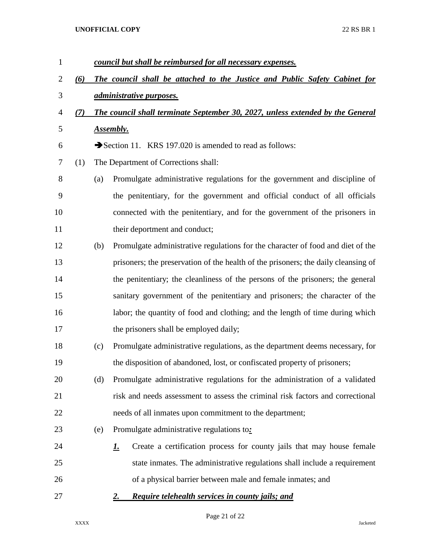| $\mathbf{1}$   |     |     | council but shall be reimbursed for all necessary expenses.                        |
|----------------|-----|-----|------------------------------------------------------------------------------------|
| $\overline{2}$ | (6) |     | The council shall be attached to the Justice and Public Safety Cabinet for         |
| 3              |     |     | <i><u>administrative purposes.</u></i>                                             |
| $\overline{4}$ | (7) |     | The council shall terminate September 30, 2027, unless extended by the General     |
| 5              |     |     | <b>Assembly.</b>                                                                   |
| 6              |     |     | Section 11. KRS 197.020 is amended to read as follows:                             |
| 7              | (1) |     | The Department of Corrections shall:                                               |
| 8              |     | (a) | Promulgate administrative regulations for the government and discipline of         |
| 9              |     |     | the penitentiary, for the government and official conduct of all officials         |
| 10             |     |     | connected with the penitentiary, and for the government of the prisoners in        |
| 11             |     |     | their deportment and conduct;                                                      |
| 12             |     | (b) | Promulgate administrative regulations for the character of food and diet of the    |
| 13             |     |     | prisoners; the preservation of the health of the prisoners; the daily cleansing of |
| 14             |     |     | the penitentiary; the cleanliness of the persons of the prisoners; the general     |
| 15             |     |     | sanitary government of the penitentiary and prisoners; the character of the        |
| 16             |     |     | labor; the quantity of food and clothing; and the length of time during which      |
| 17             |     |     | the prisoners shall be employed daily;                                             |
| 18             |     | (c) | Promulgate administrative regulations, as the department deems necessary, for      |
| 19             |     |     | the disposition of abandoned, lost, or confiscated property of prisoners;          |
| 20             |     | (d) | Promulgate administrative regulations for the administration of a validated        |
| 21             |     |     | risk and needs assessment to assess the criminal risk factors and correctional     |
| 22             |     |     | needs of all inmates upon commitment to the department;                            |
| 23             |     | (e) | Promulgate administrative regulations to:                                          |
| 24             |     |     | Create a certification process for county jails that may house female<br><u>L.</u> |
| 25             |     |     | state inmates. The administrative regulations shall include a requirement          |
| 26             |     |     | of a physical barrier between male and female inmates; and                         |
| 27             |     |     | Require telehealth services in county jails; and<br><u>2.</u>                      |

Page 21 of 22